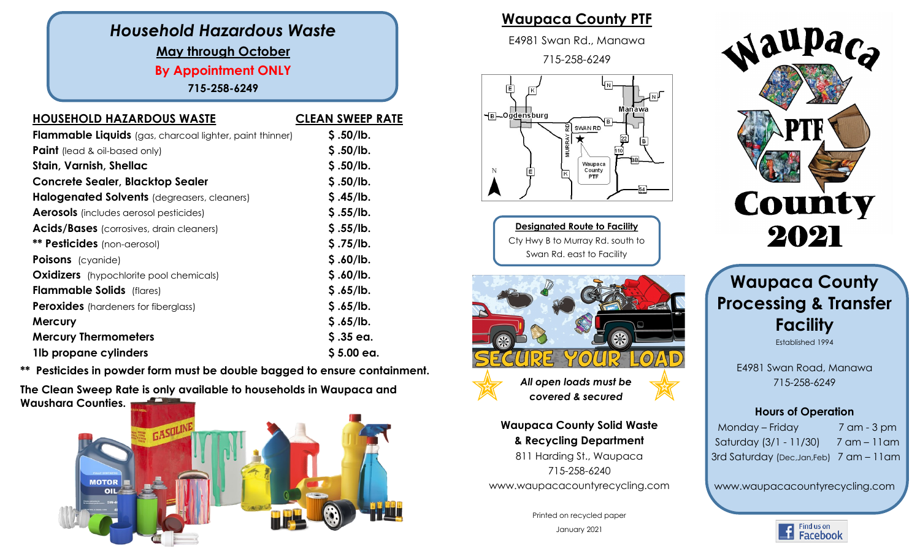## *Household Hazardous Waste* **May through October By Appointment ONLY 715-258-6249**

| <b>HOUSEHOLD HAZARDOUS WASTE</b>                                | <b>CLEAN SWEEP RATE</b> |
|-----------------------------------------------------------------|-------------------------|
| <b>Flammable Liquids</b> (gas, charcoal lighter, paint thinner) | \$.50/lb.               |
| <b>Paint</b> (lead & oil-based only)                            | \$.50/lb.               |
| Stain, Varnish, Shellac                                         | \$.50/lb.               |
| <b>Concrete Sealer, Blacktop Sealer</b>                         | \$.50/lb.               |
| Halogenated Solvents (degreasers, cleaners)                     | \$.45/lb.               |
| <b>Aerosols</b> (includes aerosol pesticides)                   | \$.55/lb.               |
| <b>Acids/Bases</b> (corrosives, drain cleaners)                 | \$.55/lb.               |
| ** Pesticides (non-aerosol)                                     | \$.75/lb.               |
| <b>Poisons</b> (cyanide)                                        | \$.60/lb.               |
| <b>Oxidizers</b> (hypochlorite pool chemicals)                  | \$.60/lb.               |
| <b>Flammable Solids</b> (flares)                                | \$.65/lb.               |
| <b>Peroxides</b> (hardeners for fiberglass)                     | \$.65/lb.               |
| <b>Mercury</b>                                                  | \$.65/lb.               |
| <b>Mercury Thermometers</b>                                     | $$.35$ ea.              |
| 1lb propane cylinders                                           | $$5.00$ ea.             |
|                                                                 |                         |

**\*\* Pesticides in powder form must be double bagged to ensure containment.**

**The Clean Sweep Rate is only available to households in Waupaca and Waushara Counties.** 



## **Waupaca County PTF**

E4981 Swan Rd., Manawa

715-258-6249



**Designated Route to Facility** Cty Hwy B to Murray Rd. south to Swan Rd. east to Facility



*All open loads must be covered & secured*

**Waupaca County Solid Waste & Recycling Department** 811 Harding St., Waupaca 715-258-6240 www.waupacacountyrecycling.com

> Printed on recycled paper January 2021



## **Waupaca County Processing & Transfer Facility** Established 1994

E4981 Swan Road, Manawa 715-258-6249

### **Hours of Operation**

Monday – Friday 7 am - 3 pm Saturday (3/1 - 11/30) 7 am – 11am 3rd Saturday (Dec,Jan,Feb) 7 am – 11am

www.waupacacountyrecycling.com